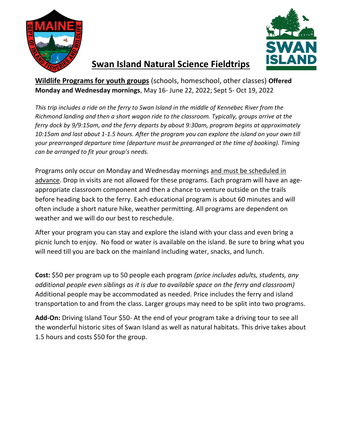



# Swan Island Natural Science Fieldtrips

Wildlife Programs for youth groups (schools, homeschool, other classes) Offered Monday and Wednesday mornings, May 16- June 22, 2022; Sept 5- Oct 19, 2022

This trip includes a ride on the ferry to Swan Island in the middle of Kennebec River from the Richmond landing and then a short wagon ride to the classroom. Typically, groups arrive at the ferry dock by 9/9:15am, and the ferry departs by about 9:30am, program begins at approximately 10:15am and last about 1-1.5 hours. After the program you can explore the island on your own till your prearranged departure time (departure must be prearranged at the time of booking). Timing can be arranged to fit your group's needs.

Programs only occur on Monday and Wednesday mornings and must be scheduled in advance. Drop in visits are not allowed for these programs. Each program will have an ageappropriate classroom component and then a chance to venture outside on the trails before heading back to the ferry. Each educational program is about 60 minutes and will often include a short nature hike, weather permitting. All programs are dependent on weather and we will do our best to reschedule.

After your program you can stay and explore the island with your class and even bring a picnic lunch to enjoy. No food or water is available on the island. Be sure to bring what you will need till you are back on the mainland including water, snacks, and lunch.

Cost: \$50 per program up to 50 people each program (price includes adults, students, any additional people even siblings as it is due to available space on the ferry and classroom) Additional people may be accommodated as needed. Price includes the ferry and island transportation to and from the class. Larger groups may need to be split into two programs.

Add-On: Driving Island Tour \$50- At the end of your program take a driving tour to see all the wonderful historic sites of Swan Island as well as natural habitats. This drive takes about 1.5 hours and costs \$50 for the group.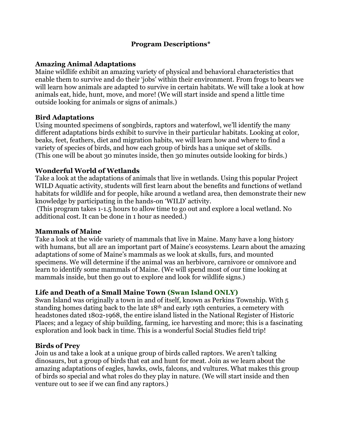# Program Descriptions\*

# Amazing Animal Adaptations

Maine wildlife exhibit an amazing variety of physical and behavioral characteristics that enable them to survive and do their 'jobs' within their environment. From frogs to bears we will learn how animals are adapted to survive in certain habitats. We will take a look at how animals eat, hide, hunt, move, and more! (We will start inside and spend a little time outside looking for animals or signs of animals.)

# Bird Adaptations

Using mounted specimens of songbirds, raptors and waterfowl, we'll identify the many different adaptations birds exhibit to survive in their particular habitats. Looking at color, beaks, feet, feathers, diet and migration habits, we will learn how and where to find a variety of species of birds, and how each group of birds has a unique set of skills. (This one will be about 30 minutes inside, then 30 minutes outside looking for birds.)

# Wonderful World of Wetlands

Take a look at the adaptations of animals that live in wetlands. Using this popular Project WILD Aquatic activity, students will first learn about the benefits and functions of wetland habitats for wildlife and for people, hike around a wetland area, then demonstrate their new knowledge by participating in the hands-on 'WILD' activity.

 (This program takes 1-1.5 hours to allow time to go out and explore a local wetland. No additional cost. It can be done in 1 hour as needed.)

#### Mammals of Maine

Take a look at the wide variety of mammals that live in Maine. Many have a long history with humans, but all are an important part of Maine's ecosystems. Learn about the amazing adaptations of some of Maine's mammals as we look at skulls, furs, and mounted specimens. We will determine if the animal was an herbivore, carnivore or omnivore and learn to identify some mammals of Maine. (We will spend most of our time looking at mammals inside, but then go out to explore and look for wildlife signs.)

# Life and Death of a Small Maine Town (Swan Island ONLY)

Swan Island was originally a town in and of itself, known as Perkins Township. With 5 standing homes dating back to the late 18th and early 19th centuries, a cemetery with headstones dated 1802-1968, the entire island listed in the National Register of Historic Places; and a legacy of ship building, farming, ice harvesting and more; this is a fascinating exploration and look back in time. This is a wonderful Social Studies field trip!

#### Birds of Prey

Join us and take a look at a unique group of birds called raptors. We aren't talking dinosaurs, but a group of birds that eat and hunt for meat. Join as we learn about the amazing adaptations of eagles, hawks, owls, falcons, and vultures. What makes this group of birds so special and what roles do they play in nature. (We will start inside and then venture out to see if we can find any raptors.)